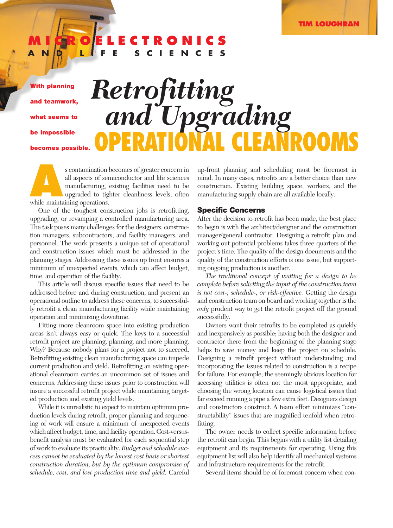### **MICROELECTRONICS AND LIFE SCIENCES**

**With planning and teamwork, what seems to be impossible becomes possible.**

# **OPERATIONAL CLEANROOMS** *Retrofitting and Upgrading*

s contamination becomes of greater concern in all aspects of semiconductor and life sciences manufacturing, existing facilities need to be upgraded to tighter cleanliness levels, often while maintaining operations. all aspects of semiconductor and life sciences manufacturing, existing facilities need to be upgraded to tighter cleanliness levels, often while maintaining operations.

One of the toughest construction jobs is retrofitting, upgrading, or revamping a controlled manufacturing area. The task poses many challenges for the designers, construction managers, subcontractors, and facility managers, and personnel. The work presents a unique set of operational and construction issues which must be addressed in the planning stages. Addressing these issues up front ensures a minimum of unexpected events, which can affect budget, time, and operation of the facility.

This article will discuss specific issues that need to be addressed before and during construction, and present an operational outline to address these concerns, to successfully retrofit a clean manufacturing facility while maintaining operation and minimizing downtime.

Fitting more cleanroom space into existing production areas isn't always easy or quick. The keys to a successful retrofit project are planning, planning, and more planning. Why? Because nobody plans for a project not to succeed. Retrofitting existing clean manufacturing space can impede current production and yield. Retrofitting an existing operational cleanroom carries an uncommon set of issues and concerns. Addressing these issues prior to construction will insure a successful retrofit project while maintaining targeted production and existing yield levels.

While it is unrealistic to expect to maintain optimum production levels during retrofit, proper planning and sequencing of work will ensure a minimum of unexpected events which affect budget, time, and facility operation. Cost-versusbenefit analysis must be evaluated for each sequential step of work to evaluate its practicality. *Budget and schedule success cannot be evaluated by the lowest cost basis or shortest construction duration, but by the optimum compromise of schedule, cost, and lost production time and yield.* Careful

up-front planning and scheduling must be foremost in mind. In many cases, retrofits are a better choice than new construction. Existing building space, workers, and the manufacturing supply chain are all available locally.

#### **Specific Concerns**

After the decision to retrofit has been made, the best place to begin is with the architect/designer and the construction manager/general contractor. Designing a retrofit plan and working out potential problems takes three quarters of the project's time. The quality of the design documents and the quality of the construction efforts is one issue, but supporting ongoing production is another.

*The traditional concept of waiting for a design to be complete before soliciting the input of the construction team is not cost-, schedule-, or risk-effective.* Getting the design and construction team on board and working together is the *only* prudent way to get the retrofit project off the ground successfully.

Owners want their retrofits to be completed as quickly and inexpensively as possible; having both the designer and contractor there from the beginning of the planning stage helps to save money and keep the project on schedule. Designing a retrofit project without understanding and incorporating the issues related to construction is a recipe for failure. For example, the seemingly obvious location for accessing utilities is often not the most appropriate, and choosing the wrong location can cause logistical issues that far exceed running a pipe a few extra feet. Designers design and constructors construct. A team effort minimizes "constructability" issues that are magnified tenfold when retrofitting.

The owner needs to collect specific information before the retrofit can begin. This begins with a utility list detailing equipment and its requirements for operating. Using this equipment list will also help identify all mechanical systems and infrastructure requirements for the retrofit.

Several items should be of foremost concern when con-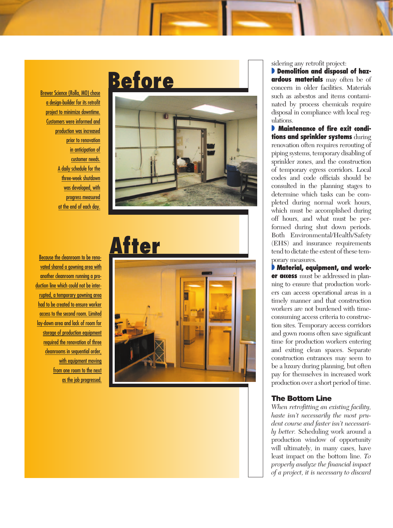Brewer Science (Rolla, MO) chose a design-builder for its retrofit project to minimize downtime. Customers were informed and production was increased prior to renovation in anticipation of customer needs. A daily schedule for the three-week shutdown was developed, with progress measured at the end of each day.

<u>Because the cleanroom to be reno-</u> vated shared a gowning area with <u>another cleanroom running a pro-</u> <u>duction line which could not be inter-</u> rupted, a temporary gowning area had to be created to ensure worker access to the second room. Limited lay-down area and lack of room for storage of production equipment required the renovation of three cleanrooms in sequential order, with equipment moving from one room to the next as the job progressed.

## **Before**







sidering any retrofit project:<br>**• Demolition and disposal of hazardous materials** may often be of concern in older facilities. Materials such as asbestos and items contaminated by process chemicals require disposal in compliance with local regulations.

**• Maintenance of fire exit conditions and sprinkler systems** during renovation often requires rerouting of piping systems, temporary disabling of sprinkler zones, and the construction of temporary egress corridors. Local codes and code officials should be consulted in the planning stages to determine which tasks can be completed during normal work hours, which must be accomplished during off hours, and what must be performed during shut down periods. Both Environmental/Health/Safety (EHS) and insurance requirements tend to dictate the extent of these temporary measures.<br>**• Material, equipment, and work-**

**er access** must be addressed in planning to ensure that production workers can access operational areas in a timely manner and that construction workers are not burdened with timeconsuming access criteria to construction sites. Temporary access corridors and gown rooms often save significant time for production workers entering and exiting clean spaces. Separate construction entrances may seem to be a luxury during planning, but often pay for themselves in increased work production over a short period of time.

#### **The Bottom Line**

*When retrofitting an existing facility, haste isn't necessarily the most prudent course and faster isn't necessarily better.* Scheduling work around a production window of opportunity will ultimately, in many cases, have least impact on the bottom line. *To properly analyze the financial impact of a project, it is necessary to discard*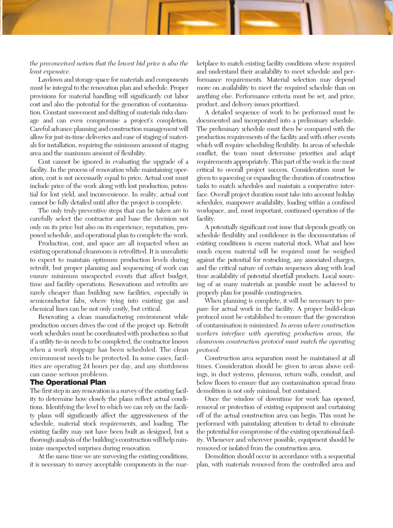#### *the preconceived notion that the lowest bid price is also the least expensive.*

Laydown and storage space for materials and components must be integral to the renovation plan and schedule. Proper provisions for material handling will significantly cut labor cost and also the potential for the generation of contamination. Constant movement and shifting of materials risks damage and can even compromise a project's completion. Careful advance planning and construction management will allow for just-in-time deliveries and ease of staging of materials for installation, requiring the minimum amount of staging area and the maximum amount of flexibility.

Cost cannot be ignored in evaluating the upgrade of a facility. In the process of renovation while maintaining operation, cost is not necessarily equal to price. Actual cost must include price of the work along with lost production, potential for lost yield, and inconvenience. In reality, actual cost cannot be fully detailed until after the project is complete.

The only truly preventive steps that can be taken are to carefully select the contractor and base the decision not only on its price but also on its experience, reputation, proposed schedule, and operational plan to complete the work.

Production, cost, and space are all impacted when an existing operational cleanroom is retrofitted. It is unrealistic to expect to maintain optimum production levels during retrofit, but proper planning and sequencing of work can ensure minimum unexpected events that affect budget, time and facility operations. Renovations and retrofits are rarely cheaper than building new facilities, especially in semiconductor fabs, where tying into existing gas and chemical lines can be not only costly, but critical.

Renovating a clean manufacturing environment while production occurs drives the cost of the project up. Retrofit work schedules must be coordinated with production so that if a utility tie-in needs to be completed, the contractor knows when a work stoppage has been scheduled. The clean environment needs to be protected. In some cases, facilities are operating 24 hours per day, and any shutdowns can cause serious problems.

#### **The Operational Plan**

The first step in any renovation is a survey of the existing facility to determine how closely the plans reflect actual conditions. Identifying the level to which we can rely on the facility plans will significantly affect the aggressiveness of the schedule, material stock requirements, and loading. The existing facility may not have been built as designed, but a thorough analysis of the building's construction will help minimize unexpected surprises during renovation.

At the same time we are surveying the existing conditions, it is necessary to survey acceptable components in the marketplace to match existing facility conditions where required and understand their availability to meet schedule and performance requirements. Material selection may depend more on availability to meet the required schedule than on anything else. Performance criteria must be set, and price, product, and delivery issues prioritized.

A detailed sequence of work to be performed must be documented and incorporated into a preliminary schedule. The preliminary schedule must then be compared with the production requirements of the facility and with other events which will require scheduling flexibility. In areas of schedule conflict, the team must determine priorities and adapt requirements appropriately. This part of the work is the most critical to overall project success. Consideration must be given to squeezing or expanding the duration of construction tasks to match schedules and maintain a cooperative interface. Overall project duration must take into account holiday schedules, manpower availability, loading within a confined workspace, and, most important, continued operation of the facility.

A potentially significant cost issue that depends greatly on schedule flexibility and confidence in the documentation of existing conditions is excess material stock. What and how much excess material will be required must be weighed against the potential for restocking, any associated charges, and the critical nature of certain sequences along with lead time availability of potential shortfall products. Local sourcing of as many materials as possible must be achieved to properly plan for possible contingencies.

When planning is complete, it will be necessary to prepare for actual work in the facility. A proper build-clean protocol must be established to ensure that the generation of contamination is minimized. *In areas where construction workers interface with operating production areas, the cleanroom construction protocol must match the operating protocol.*

Construction area separation must be maintained at all times. Consideration should be given to areas above ceilings, in duct systems, plenums, return walls, conduit, and below floors to ensure that any contamination spread from demolition is not only minimal, but contained.

Once the window of downtime for work has opened, removal or protection of existing equipment and curtaining off of the actual construction area can begin. This must be performed with painstaking attention to detail to eliminate the potential for compromise of the existing operational facility. Whenever and wherever possible, equipment should be removed or isolated from the construction area.

Demolition should occur in accordance with a sequential plan, with materials removed from the controlled area and